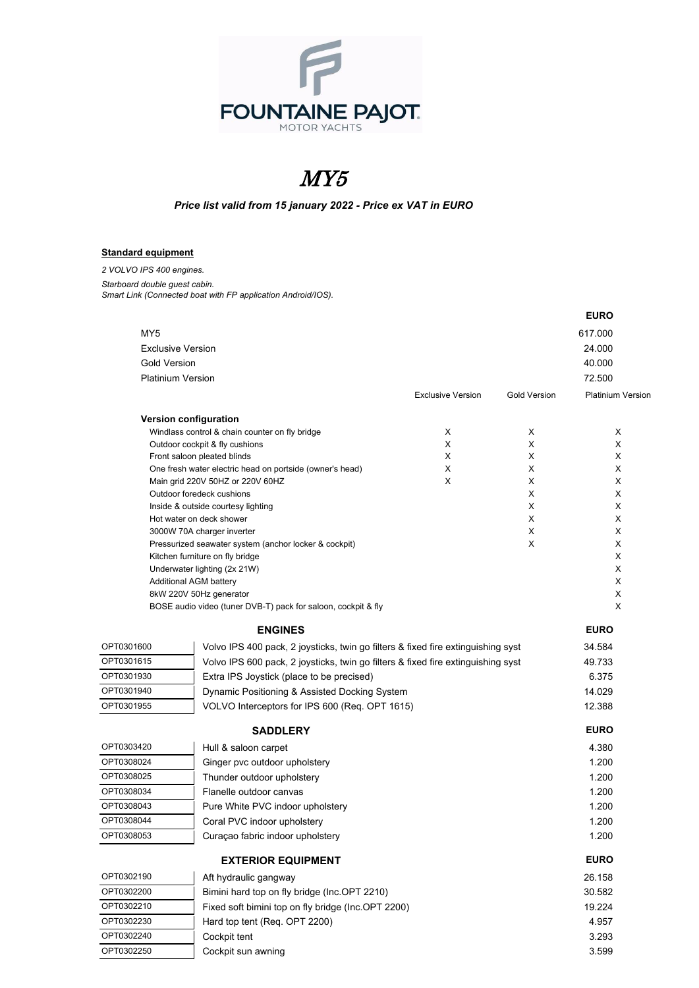

## MY5

*Price list valid from 15 january 2022 - Price ex VAT in EURO*

## **Standard equipment**

*2 VOLVO IPS 400 engines. Starboard double guest cabin. Smart Link (Connected boat with FP application Android/IOS).*

|                     |                                                                                          |                          |                     | <b>EURO</b>              |
|---------------------|------------------------------------------------------------------------------------------|--------------------------|---------------------|--------------------------|
| MY5                 |                                                                                          |                          |                     | 617.000                  |
|                     | <b>Exclusive Version</b>                                                                 |                          |                     | 24.000                   |
| <b>Gold Version</b> |                                                                                          |                          |                     | 40.000                   |
|                     | <b>Platinium Version</b>                                                                 |                          |                     | 72.500                   |
|                     |                                                                                          | <b>Exclusive Version</b> | <b>Gold Version</b> | <b>Platinium Versior</b> |
|                     | <b>Version configuration</b>                                                             |                          |                     |                          |
|                     | Windlass control & chain counter on fly bridge                                           | X                        | X                   | X                        |
|                     | Outdoor cockpit & fly cushions                                                           | X                        | X                   | X                        |
|                     | Front saloon pleated blinds                                                              | X                        | Χ                   | X                        |
|                     | One fresh water electric head on portside (owner's head)                                 | X<br>X                   | Χ                   | Х                        |
|                     | Main grid 220V 50HZ or 220V 60HZ<br>Outdoor foredeck cushions                            |                          | X<br>X              | X<br>X                   |
|                     | Inside & outside courtesy lighting                                                       |                          | Χ                   | X                        |
|                     | Hot water on deck shower                                                                 |                          | X                   | X                        |
|                     | 3000W 70A charger inverter                                                               |                          | X                   | X                        |
|                     | Pressurized seawater system (anchor locker & cockpit)                                    |                          | X                   | X                        |
|                     | Kitchen furniture on fly bridge                                                          |                          |                     | X                        |
|                     | Underwater lighting (2x 21W)                                                             |                          |                     | X                        |
|                     | Additional AGM battery                                                                   |                          |                     | X                        |
|                     | 8kW 220V 50Hz generator<br>BOSE audio video (tuner DVB-T) pack for saloon, cockpit & fly |                          |                     | X<br>X                   |
|                     |                                                                                          |                          |                     |                          |
|                     | <b>ENGINES</b>                                                                           |                          |                     | <b>EURO</b>              |
| OPT0301600          | Volvo IPS 400 pack, 2 joysticks, twin go filters & fixed fire extinguishing syst         |                          |                     | 34.584                   |
| OPT0301615          | Volvo IPS 600 pack, 2 joysticks, twin go filters & fixed fire extinguishing syst         |                          |                     | 49.733                   |
| OPT0301930          | Extra IPS Joystick (place to be precised)                                                |                          |                     | 6.375                    |
| OPT0301940          | Dynamic Positioning & Assisted Docking System                                            |                          |                     | 14.029                   |
| OPT0301955          | VOLVO Interceptors for IPS 600 (Req. OPT 1615)                                           |                          |                     | 12.388                   |
|                     | <b>SADDLERY</b>                                                                          |                          |                     | <b>EURO</b>              |
| OPT0303420          | Hull & saloon carpet                                                                     |                          |                     | 4.380                    |
| OPT0308024          | Ginger pvc outdoor upholstery                                                            |                          |                     | 1.200                    |
| OPT0308025          | Thunder outdoor upholstery                                                               |                          |                     | 1.200                    |
| OPT0308034          | Flanelle outdoor canvas                                                                  |                          |                     | 1.200                    |
| OPT0308043          | Pure White PVC indoor upholstery                                                         |                          |                     | 1.200                    |
| OPT0308044          | Coral PVC indoor upholstery                                                              |                          |                     | 1.200                    |
| OPT0308053          | Curaçao fabric indoor upholstery                                                         |                          |                     | 1.200                    |
|                     | <b>EXTERIOR EQUIPMENT</b>                                                                |                          |                     | <b>EURO</b>              |
| OPT0302190          | Aft hydraulic gangway                                                                    |                          |                     | 26.158                   |
| OPT0302200          | Bimini hard top on fly bridge (Inc.OPT 2210)                                             |                          |                     | 30.582                   |
| OPT0302210          | Fixed soft bimini top on fly bridge (Inc.OPT 2200)                                       |                          |                     | 19.224                   |
| OPT0302230          | Hard top tent (Req. OPT 2200)                                                            |                          |                     | 4.957                    |
| OPT0302240          | Cockpit tent                                                                             |                          |                     | 3.293                    |
| OPT0302250          | Cockpit sun awning                                                                       |                          |                     | 3.599                    |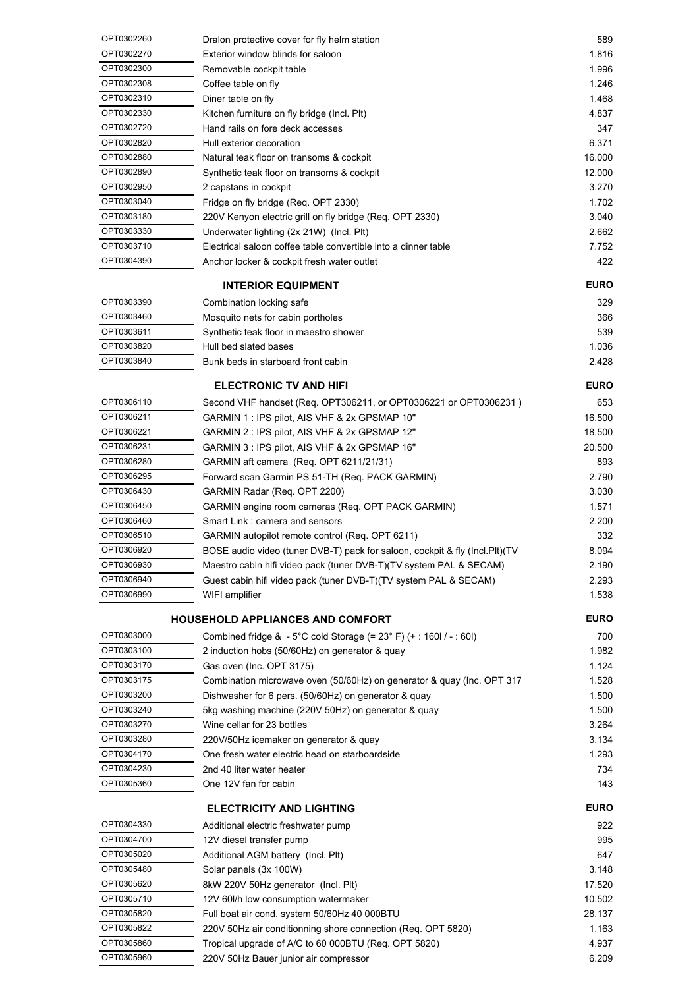| OPT0302260 | Dralon protective cover for fly helm station                                           | 589         |
|------------|----------------------------------------------------------------------------------------|-------------|
| OPT0302270 | Exterior window blinds for saloon                                                      | 1.816       |
| OPT0302300 | Removable cockpit table                                                                | 1.996       |
| OPT0302308 | Coffee table on fly                                                                    | 1.246       |
| OPT0302310 | Diner table on fly                                                                     | 1.468       |
| OPT0302330 | Kitchen furniture on fly bridge (Incl. Plt)                                            | 4.837       |
| OPT0302720 | Hand rails on fore deck accesses                                                       | 347         |
| OPT0302820 | Hull exterior decoration                                                               | 6.371       |
| OPT0302880 | Natural teak floor on transoms & cockpit                                               | 16.000      |
| OPT0302890 | Synthetic teak floor on transoms & cockpit                                             | 12.000      |
| OPT0302950 | 2 capstans in cockpit                                                                  | 3.270       |
| OPT0303040 | Fridge on fly bridge (Req. OPT 2330)                                                   | 1.702       |
| OPT0303180 | 220V Kenyon electric grill on fly bridge (Req. OPT 2330)                               | 3.040       |
| OPT0303330 | Underwater lighting (2x 21W) (Incl. Plt)                                               | 2.662       |
| OPT0303710 | Electrical saloon coffee table convertible into a dinner table                         | 7.752       |
| OPT0304390 | Anchor locker & cockpit fresh water outlet                                             | 422         |
|            | <b>INTERIOR EQUIPMENT</b>                                                              | <b>EURO</b> |
| OPT0303390 | Combination locking safe                                                               | 329         |
| OPT0303460 | Mosquito nets for cabin portholes                                                      | 366         |
| OPT0303611 | Synthetic teak floor in maestro shower                                                 | 539         |
| OPT0303820 | Hull bed slated bases                                                                  | 1.036       |
| OPT0303840 | Bunk beds in starboard front cabin                                                     | 2.428       |
|            |                                                                                        |             |
|            | <b>ELECTRONIC TV AND HIFI</b>                                                          | <b>EURO</b> |
| OPT0306110 | Second VHF handset (Req. OPT306211, or OPT0306221 or OPT0306231)                       | 653         |
| OPT0306211 | GARMIN 1 : IPS pilot, AIS VHF & 2x GPSMAP 10"                                          | 16.500      |
| OPT0306221 | GARMIN 2 : IPS pilot, AIS VHF & 2x GPSMAP 12"                                          | 18.500      |
| OPT0306231 | GARMIN 3 : IPS pilot, AIS VHF & 2x GPSMAP 16"                                          | 20.500      |
| OPT0306280 | GARMIN aft camera (Req. OPT 6211/21/31)                                                | 893         |
| OPT0306295 | Forward scan Garmin PS 51-TH (Req. PACK GARMIN)                                        | 2.790       |
| OPT0306430 | GARMIN Radar (Req. OPT 2200)                                                           | 3.030       |
| OPT0306450 | GARMIN engine room cameras (Req. OPT PACK GARMIN)                                      | 1.571       |
| OPT0306460 | Smart Link: camera and sensors                                                         | 2.200       |
| OPT0306510 | GARMIN autopilot remote control (Req. OPT 6211)                                        | 332         |
| OPT0306920 | BOSE audio video (tuner DVB-T) pack for saloon, cockpit & fly (Incl.Plt)(TV            | 8.094       |
| OPT0306930 | Maestro cabin hifi video pack (tuner DVB-T)(TV system PAL & SECAM)                     | 2.190       |
| OPT0306940 | Guest cabin hifi video pack (tuner DVB-T)(TV system PAL & SECAM)                       | 2.293       |
| OPT0306990 | WIFI amplifier                                                                         | 1.538       |
|            | <b>HOUSEHOLD APPLIANCES AND COMFORT</b>                                                | <b>EURO</b> |
| OPT0303000 | Combined fridge & - $5^{\circ}$ C cold Storage (= $23^{\circ}$ F) (+ : 160l / - : 60l) | 700         |
| OPT0303100 | 2 induction hobs (50/60Hz) on generator & quay                                         | 1.982       |
| OPT0303170 | Gas oven (Inc. OPT 3175)                                                               | 1.124       |
| OPT0303175 | Combination microwave oven (50/60Hz) on generator & quay (Inc. OPT 317                 | 1.528       |
| OPT0303200 | Dishwasher for 6 pers. (50/60Hz) on generator & quay                                   | 1.500       |
| OPT0303240 | 5kg washing machine (220V 50Hz) on generator & quay                                    | 1.500       |
| OPT0303270 | Wine cellar for 23 bottles                                                             | 3.264       |
| OPT0303280 | 220V/50Hz icemaker on generator & quay                                                 | 3.134       |
| OPT0304170 | One fresh water electric head on starboardside                                         | 1.293       |
| OPT0304230 | 2nd 40 liter water heater                                                              | 734         |
| OPT0305360 | One 12V fan for cabin                                                                  | 143         |
|            | <b>ELECTRICITY AND LIGHTING</b>                                                        | <b>EURO</b> |
| OPT0304330 | Additional electric freshwater pump                                                    | 922         |
| OPT0304700 | 12V diesel transfer pump                                                               | 995         |
| OPT0305020 | Additional AGM battery (Incl. Plt)                                                     | 647         |
| OPT0305480 | Solar panels (3x 100W)                                                                 | 3.148       |
| OPT0305620 | 8kW 220V 50Hz generator (Incl. Plt)                                                    | 17.520      |
| OPT0305710 | 12V 60I/h low consumption watermaker                                                   | 10.502      |
| OPT0305820 | Full boat air cond. system 50/60Hz 40 000BTU                                           | 28.137      |
| OPT0305822 | 220V 50Hz air conditionning shore connection (Req. OPT 5820)                           | 1.163       |
| OPT0305860 | Tropical upgrade of A/C to 60 000BTU (Req. OPT 5820)                                   | 4.937       |
| OPT0305960 |                                                                                        | 6.209       |
|            | 220V 50Hz Bauer junior air compressor                                                  |             |